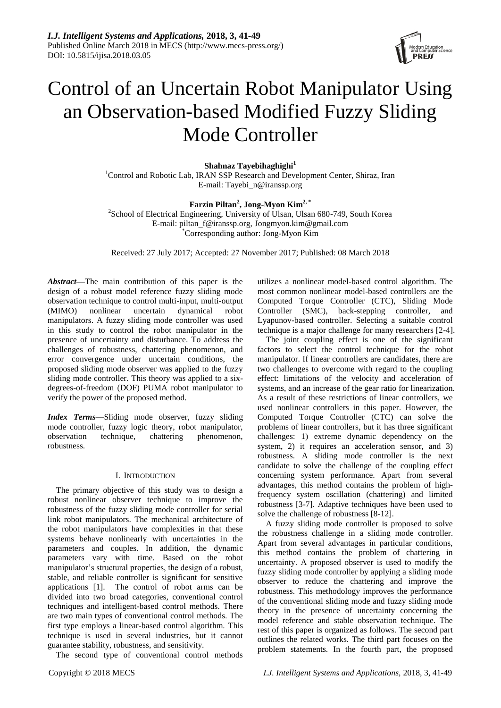

# Control of an Uncertain Robot Manipulator Using an Observation-based Modified Fuzzy Sliding Mode Controller

**Shahnaz Tayebihaghighi<sup>1</sup>**

<sup>1</sup>Control and Robotic Lab, IRAN SSP Research and Development Center, Shiraz, Iran E-mail: Tayebi\_n@iranssp.org

# **Farzin Piltan<sup>2</sup> , Jong-Myon Kim2, \***

<sup>2</sup>School of Electrical Engineering, University of Ulsan, Ulsan 680-749, South Korea E-mail: [piltan\\_f@iranssp.org,](mailto:piltan_f@iranssp.org) Jongmyon.kim@gmail.com \*Corresponding author: Jong-Myon Kim

Received: 27 July 2017; Accepted: 27 November 2017; Published: 08 March 2018

*Abstract—*The main contribution of this paper is the design of a robust model reference fuzzy sliding mode observation technique to control multi-input, multi-output (MIMO) nonlinear uncertain dynamical robot manipulators. A fuzzy sliding mode controller was used in this study to control the robot manipulator in the presence of uncertainty and disturbance. To address the challenges of robustness, chattering phenomenon, and error convergence under uncertain conditions, the proposed sliding mode observer was applied to the fuzzy sliding mode controller. This theory was applied to a sixdegrees-of-freedom (DOF) PUMA robot manipulator to verify the power of the proposed method.

*Index Terms*—Sliding mode observer, fuzzy sliding mode controller, fuzzy logic theory, robot manipulator, observation technique, chattering phenomenon, robustness.

# I. INTRODUCTION

The primary objective of this study was to design a robust nonlinear observer technique to improve the robustness of the fuzzy sliding mode controller for serial link robot manipulators. The mechanical architecture of the robot manipulators have complexities in that these systems behave nonlinearly with uncertainties in the parameters and couples. In addition, the dynamic parameters vary with time. Based on the robot manipulator's structural properties, the design of a robust, stable, and reliable controller is significant for sensitive applications [1]. The control of robot arms can be divided into two broad categories, conventional control techniques and intelligent-based control methods. There are two main types of conventional control methods. The first type employs a linear-based control algorithm. This technique is used in several industries, but it cannot guarantee stability, robustness, and sensitivity.

The second type of conventional control methods

utilizes a nonlinear model-based control algorithm. The most common nonlinear model-based controllers are the Computed Torque Controller (CTC), Sliding Mode Controller (SMC), back-stepping controller, and Lyapunov-based controller. Selecting a suitable control technique is a major challenge for many researchers [2-4].

The joint coupling effect is one of the significant factors to select the control technique for the robot manipulator. If linear controllers are candidates, there are two challenges to overcome with regard to the coupling effect: limitations of the velocity and acceleration of systems, and an increase of the gear ratio for linearization. As a result of these restrictions of linear controllers, we used nonlinear controllers in this paper. However, the Computed Torque Controller (CTC) can solve the problems of linear controllers, but it has three significant challenges: 1) extreme dynamic dependency on the system, 2) it requires an acceleration sensor, and 3) robustness. A sliding mode controller is the next candidate to solve the challenge of the coupling effect concerning system performance. Apart from several advantages, this method contains the problem of highfrequency system oscillation (chattering) and limited robustness [3-7]. Adaptive techniques have been used to solve the challenge of robustness [8-12].

A fuzzy sliding mode controller is proposed to solve the robustness challenge in a sliding mode controller. Apart from several advantages in particular conditions, this method contains the problem of chattering in uncertainty. A proposed observer is used to modify the fuzzy sliding mode controller by applying a sliding mode observer to reduce the chattering and improve the robustness. This methodology improves the performance of the conventional sliding mode and fuzzy sliding mode theory in the presence of uncertainty concerning the model reference and stable observation technique. The rest of this paper is organized as follows. The second part outlines the related works. The third part focuses on the problem statements. In the fourth part, the proposed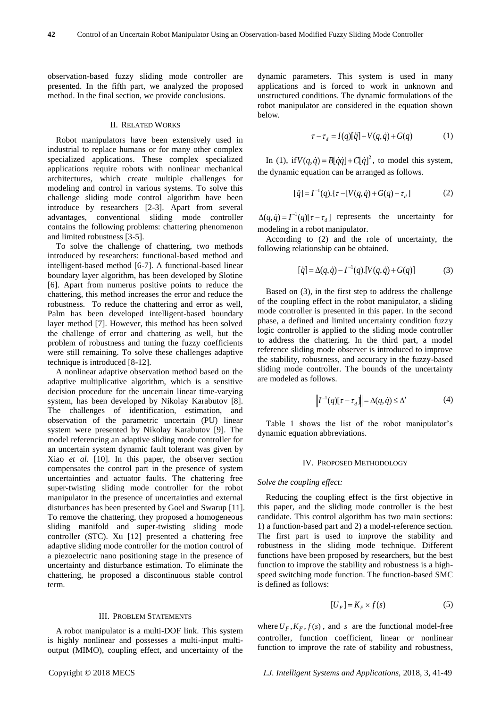observation-based fuzzy sliding mode controller are presented. In the fifth part, we analyzed the proposed method. In the final section, we provide conclusions.

#### II. RELATED WORKS

Robot manipulators have been extensively used in industrial to replace humans or for many other complex specialized applications. These complex specialized applications require robots with nonlinear mechanical architectures, which create multiple challenges for modeling and control in various systems. To solve this challenge sliding mode control algorithm have been introduce by researchers [2-3]. Apart from several advantages, conventional sliding mode controller contains the following problems: chattering phenomenon and limited robustness [3-5].

To solve the challenge of chattering, two methods introduced by researchers: functional-based method and intelligent-based method [6-7]. A functional-based linear boundary layer algorithm, has been developed by Slotine [6]. Apart from numerus positive points to reduce the chattering, this method increases the error and reduce the robustness. To reduce the chattering and error as well, Palm has been developed intelligent-based boundary layer method [7]. However, this method has been solved the challenge of error and chattering as well, but the problem of robustness and tuning the fuzzy coefficients were still remaining. To solve these challenges adaptive technique is introduced [8-12].

A nonlinear adaptive observation method based on the adaptive multiplicative algorithm, which is a sensitive decision procedure for the uncertain linear time-varying system, has been developed by Nikolay Karabutov [8]. The challenges of identification, estimation, and observation of the parametric uncertain (PU) linear system were presented by Nikolay Karabutov [9]. The model referencing an adaptive sliding mode controller for an uncertain system dynamic fault tolerant was given by Xiao *et al*. [10]. In this paper, the observer section compensates the control part in the presence of system uncertainties and actuator faults. The chattering free super-twisting sliding mode controller for the robot manipulator in the presence of uncertainties and external disturbances has been presented by Goel and Swarup [11]. To remove the chattering, they proposed a homogeneous sliding manifold and super-twisting sliding mode controller (STC). Xu [12] presented a chattering free adaptive sliding mode controller for the motion control of a piezoelectric nano positioning stage in the presence of uncertainty and disturbance estimation. To eliminate the chattering, he proposed a discontinuous stable control term.

# III. PROBLEM STATEMENTS

A robot manipulator is a multi-DOF link. This system is highly nonlinear and possesses a multi-input multioutput (MIMO), coupling effect, and uncertainty of the dynamic parameters. This system is used in many applications and is forced to work in unknown and unstructured conditions. The dynamic formulations of the robot manipulator are considered in the equation shown below.

$$
\tau - \tau_d = I(q)[\ddot{q}] + V(q, \dot{q}) + G(q) \tag{1}
$$

In (1), if  $V(q, \dot{q}) = B[\dot{q}\dot{q}] + C[\dot{q}]^2$ , to model this system, the dynamic equation can be arranged as follows.

$$
[\ddot{q}] = I^{-1}(q) \cdot \{ \tau - [V(q, \dot{q}) + G(q) + \tau_d] \} \tag{2}
$$

 $\Delta(q, \dot{q}) = I^{-1}(q)[\tau - \tau_d]$  represents the uncertainty for modeling in a robot manipulator.

According to (2) and the role of uncertainty, the following relationship can be obtained.

$$
[\ddot{q}] = \Delta(q, \dot{q}) - I^{-1}(q) \cdot [V(q, \dot{q}) + G(q)] \tag{3}
$$

Based on (3), in the first step to address the challenge of the coupling effect in the robot manipulator, a sliding mode controller is presented in this paper. In the second phase, a defined and limited uncertainty condition fuzzy logic controller is applied to the sliding mode controller to address the chattering. In the third part, a model reference sliding mode observer is introduced to improve the stability, robustness, and accuracy in the fuzzy-based sliding mode controller. The bounds of the uncertainty are modeled as follows.

$$
\left\| I^{-1}(q)[\tau - \tau_d] \right\| = \Delta(q, \dot{q}) \le \Delta' \tag{4}
$$

Table 1 shows the list of the robot manipulator's dynamic equation abbreviations.

#### IV. PROPOSED METHODOLOGY

### *Solve the coupling effect:*

Reducing the coupling effect is the first objective in this paper, and the sliding mode controller is the best candidate. This control algorithm has two main sections: 1) a function-based part and 2) a model-reference section. The first part is used to improve the stability and robustness in the sliding mode technique. Different functions have been proposed by researchers, but the best function to improve the stability and robustness is a highspeed switching mode function. The function-based SMC is defined as follows:

$$
[U_F] = K_F \times f(s) \tag{5}
$$

where  $U_F$ ,  $K_F$ ,  $f(s)$ , and *s* are the functional model-free controller, function coefficient, linear or nonlinear function to improve the rate of stability and robustness,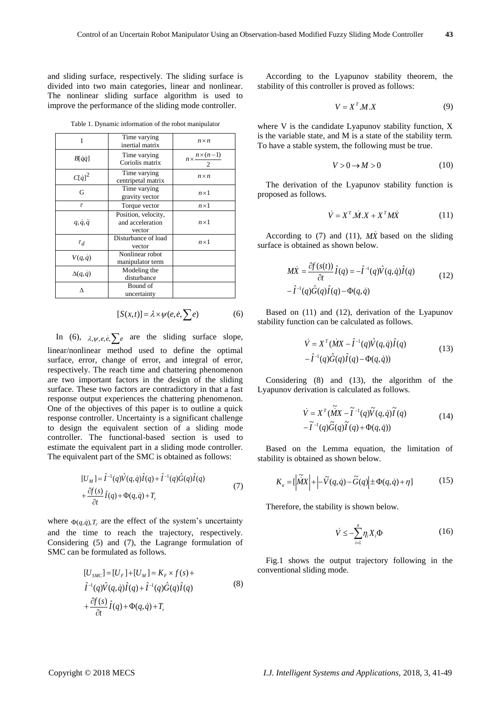and sliding surface, respectively. The sliding surface is divided into two main categories, linear and nonlinear. The nonlinear sliding surface algorithm is used to improve the performance of the sliding mode controller.

Table 1. Dynamic information of the robot manipulator

| Ī                      | Time varying<br>inertial matrix                   | $n \times n$                        |
|------------------------|---------------------------------------------------|-------------------------------------|
| $B[\dot{q}\dot{q}]$    | Time varying<br>Coriolis matrix                   | $n \times \frac{n \times (n-1)}{n}$ |
| $C[\dot{q}]^2$         | Time varying<br>centripetal matrix                | $n \times n$                        |
| G                      | Time varying<br>gravity vector                    | $n \times 1$                        |
| $\tau$                 | Torque vector                                     | $n \times 1$                        |
| $q, \dot{q}, \ddot{q}$ | Position, velocity,<br>and acceleration<br>vector | $n \times 1$                        |
| $\tau_d$               | Disturbance of load<br>vector                     | $n \times 1$                        |
| $V(q,\dot{q})$         | Nonlinear robot<br>manipulator term               |                                     |
| $\Delta(q,\dot{q})$    | Modeling the<br>disturbance                       |                                     |
| ٨                      | Bound of<br>uncertainty                           |                                     |

$$
[S(x,t)] = \lambda \times \psi(e,\dot{e},\sum e) \tag{6}
$$

In (6),  $\lambda, \psi, e, \dot{e}, \sum e$  are the sliding surface slope, linear/nonlinear method used to define the optimal surface, error, change of error, and integral of error, respectively. The reach time and chattering phenomenon are two important factors in the design of the sliding surface. These two factors are contradictory in that a fast response output experiences the chattering phenomenon. One of the objectives of this paper is to outline a quick response controller. Uncertainty is a significant challenge to design the equivalent section of a sliding mode controller. The functional-based section is used to estimate the equivalent part in a sliding mode controller. The equivalent part of the SMC is obtained as follows:

$$
[U_M] = \hat{I}^{-1}(q)\hat{V}(q,\dot{q})\hat{I}(q) + \hat{I}^{-1}(q)\hat{G}(q)\hat{I}(q)
$$
  
+ 
$$
\frac{\partial f(s)}{\partial t}\hat{I}(q) + \Phi(q,\dot{q}) + T_r
$$
 (7)

where  $\Phi(q, \dot{q})$ ,  $T_r$  are the effect of the system's uncertainty and the time to reach the trajectory, respectively. Considering (5) and (7), the Lagrange formulation of SMC can be formulated as follows.

$$
[U_{SMC}] = [U_F] + [U_M] = K_F \times f(s) +
$$
  
\n
$$
\hat{I}^{-1}(q)\hat{V}(q,\dot{q})\hat{I}(q) + \hat{I}^{-1}(q)\hat{G}(q)\hat{I}(q)
$$
  
\n
$$
+ \frac{\partial f(s)}{\partial t}\hat{I}(q) + \Phi(q,\dot{q}) + T_r
$$
\n(8)

According to the Lyapunov stability theorem, the stability of this controller is proved as follows:

$$
V = X^T M.X \tag{9}
$$

where V is the candidate Lyapunov stability function, X is the variable state, and M is a state of the stability term. To have a stable system, the following must be true.

$$
V > 0 \to M > 0 \tag{10}
$$

The derivation of the Lyapunov stability function is proposed as follows.

$$
\dot{V} = X^T \dot{M} \dot{X} + X^T M \dot{X}
$$
 (11)

According to  $(7)$  and  $(11)$ ,  $M\dot{x}$  based on the sliding surface is obtained as shown below.

$$
M\dot{X} = \frac{\partial f(s(t))}{\partial t} \hat{I}(q) = -\hat{I}^{-1}(q)\hat{V}(q, \dot{q})\hat{I}(q)
$$
  

$$
-\hat{I}^{-1}(q)\hat{G}(q)\hat{I}(q) - \Phi(q, \dot{q})
$$
 (12)

Based on (11) and (12), derivation of the Lyapunov stability function can be calculated as follows.

$$
\dot{V} = X^T (\dot{M}X - \hat{I}^{-1}(q)\hat{V}(q,\dot{q})\hat{I}(q)
$$
  

$$
-\hat{I}^{-1}(q)\hat{G}(q)\hat{I}(q) - \Phi(q,\dot{q}))
$$
\n(13)

Considering (8) and (13), the algorithm of the Lyapunov derivation is calculated as follows.

$$
\dot{V} = X^T (\tilde{M}X - \tilde{I}^{-1}(q)\tilde{V}(q, \dot{q})\tilde{I}(q)
$$
  

$$
- \tilde{I}^{-1}(q)\tilde{G}(q)\tilde{I}(q) + \Phi(q, \dot{q}))
$$
 (14)

Based on the Lemma equation, the limitation of stability is obtained as shown below.

$$
K_u = \left| \tilde{MX} \right| + \left| -\tilde{V}(q, \dot{q}) - \tilde{G}(q) \right| \pm \Phi(q, \dot{q}) + \eta \tag{15}
$$

Therefore, the stability is shown below.

$$
\dot{V} \le -\sum_{i=1}^{n} \eta_i X_i \Phi \tag{16}
$$

Fig.1 shows the output trajectory following in the conventional sliding mode.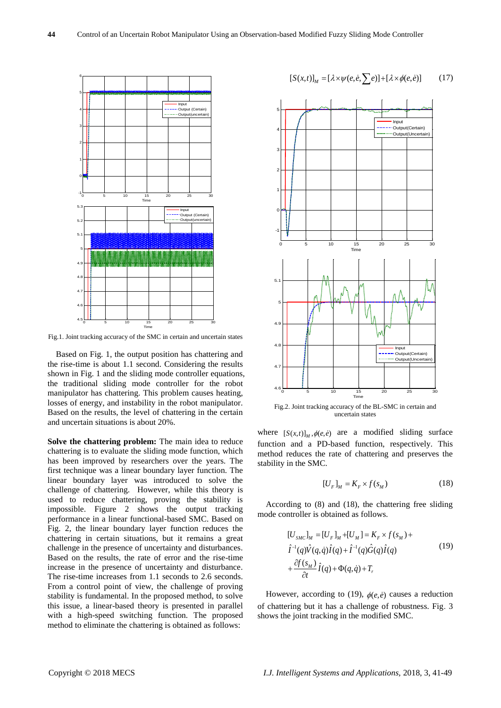

Fig.1. Joint tracking accuracy of the SMC in certain and uncertain states

Based on Fig. 1, the output position has chattering and the rise-time is about 1.1 second. Considering the results shown in Fig. 1 and the sliding mode controller equations, the traditional sliding mode controller for the robot manipulator has chattering. This problem causes heating, losses of energy, and instability in the robot manipulator. Based on the results, the level of chattering in the certain and uncertain situations is about 20%.

**Solve the chattering problem:** The main idea to reduce chattering is to evaluate the sliding mode function, which has been improved by researchers over the years. The first technique was a linear boundary layer function. The linear boundary layer was introduced to solve the challenge of chattering. However, while this theory is used to reduce chattering, proving the stability is impossible. Figure 2 shows the output tracking performance in a linear functional-based SMC. Based on Fig. 2, the linear boundary layer function reduces the chattering in certain situations, but it remains a great challenge in the presence of uncertainty and disturbances. Based on the results, the rate of error and the rise-time increase in the presence of uncertainty and disturbance. The rise-time increases from 1.1 seconds to 2.6 seconds. From a control point of view, the challenge of proving stability is fundamental. In the proposed method, to solve this issue, a linear-based theory is presented in parallel with a high-speed switching function. The proposed method to eliminate the chattering is obtained as follows:

$$
[S(x,t)]_M = [\lambda \times \psi(e,\dot{e},\sum e)] + [\lambda \times \phi(e,\dot{e})]
$$
 (17)



Fig.2. Joint tracking accuracy of the BL-SMC in certain and uncertain states

where  $[S(x,t)]_M$ ,  $\phi(e,e)$  are a modified sliding surface function and a PD-based function, respectively. This method reduces the rate of chattering and preserves the stability in the SMC.

$$
[U_F]_M = K_F \times f(s_M)
$$
 (18)

According to (8) and (18), the chattering free sliding mode controller is obtained as follows.

$$
[U_{SMC}]_M = [U_F]_M + [U_M] = K_F \times f(s_M) +
$$
  
\n
$$
\hat{I}^{-1}(q)\hat{V}(q,\dot{q})\hat{I}(q) + \hat{I}^{-1}(q)\hat{G}(q)\hat{I}(q)
$$
  
\n
$$
+ \frac{\partial f(s_M)}{\partial t}\hat{I}(q) + \Phi(q,\dot{q}) + T_r
$$
\n(19)

However, according to (19),  $\phi(e, \dot{e})$  causes a reduction of chattering but it has a challenge of robustness. Fig. 3 shows the joint tracking in the modified SMC.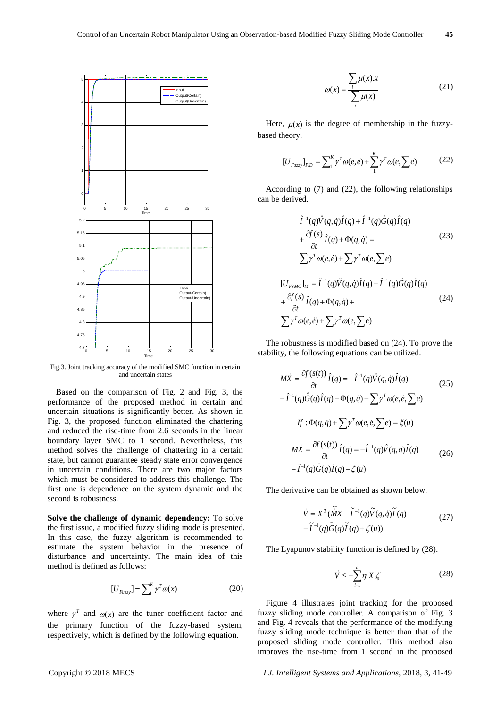$\overline{+}$ 



Fig.3. Joint tracking accuracy of the modified SMC function in certain and uncertain states

Based on the comparison of Fig. 2 and Fig. 3, the performance of the proposed method in certain and uncertain situations is significantly better. As shown in Fig. 3, the proposed function eliminated the chattering and reduced the rise-time from 2.6 seconds in the linear boundary layer SMC to 1 second. Nevertheless, this method solves the challenge of chattering in a certain state, but cannot guarantee steady state error convergence in uncertain conditions. There are two major factors which must be considered to address this challenge. The first one is dependence on the system dynamic and the second is robustness.

**Solve the challenge of dynamic dependency:** To solve the first issue, a modified fuzzy sliding mode is presented. In this case, the fuzzy algorithm is recommended to estimate the system behavior in the presence of disturbance and uncertainty. The main idea of this method is defined as follows:

$$
[U_{Fuzzy}] = \sum_{i=1}^{K} \gamma^{T} \omega(x) \tag{20}
$$

where  $\gamma^T$  and  $\omega(x)$  are the tuner coefficient factor and the primary function of the fuzzy-based system, respectively, which is defined by the following equation.

$$
\omega(x) = \frac{\sum_{i} \mu(x).x}{\sum_{i} \mu(x)} \tag{21}
$$

Here,  $\mu(x)$  is the degree of membership in the fuzzybased theory.

$$
[U_{Fuzzy}]_{PID} = \sum_{i}^{K} \gamma^{T} \omega(e, e) + \sum_{i}^{K} \gamma^{T} \omega(e, \sum e)
$$
 (22)

According to (7) and (22), the following relationships can be derived.

$$
\hat{I}^{-1}(q)\hat{V}(q,\dot{q})\hat{I}(q) + \hat{I}^{-1}(q)\hat{G}(q)\hat{I}(q) \n+ \frac{\partial f(s)}{\partial t}\hat{I}(q) + \Phi(q,\dot{q}) = \sum p^T \omega(e,\dot{e}) + \sum p^T \omega(e,\sum e) \n[U_{FSMC}]_M = \hat{I}^{-1}(q)\hat{V}(q,\dot{q})\hat{I}(q) + \hat{I}^{-1}(q)\hat{G}(q)\hat{I}(q) \n+ \frac{\partial f(s)}{\partial t}\hat{I}(q) + \Phi(q,\dot{q}) + \sum p^T \omega(e,\sum e)
$$
\n(24)

The robustness is modified based on (24). To prove the stability, the following equations can be utilized.

$$
M\dot{X} = \frac{\partial f(s(t))}{\partial t} \hat{I}(q) = -\hat{I}^{-1}(q)\hat{V}(q, \dot{q})\hat{I}(q)
$$
(25)  

$$
-\hat{I}^{-1}(q)\hat{G}(q)\hat{I}(q) - \Phi(q, \dot{q}) - \sum \gamma^{T} \omega(e, \dot{e}, \sum e)
$$
  

$$
If : \Phi(q, \dot{q}) + \sum \gamma^{T} \omega(e, \dot{e}, \sum e) = \xi(u)
$$
  

$$
M\dot{X} = \frac{\partial f(s(t))}{\partial t} \hat{I}(q) = -\hat{I}^{-1}(q)\hat{V}(q, \dot{q})\hat{I}(q)
$$
(26)  

$$
-\hat{I}^{-1}(q)\hat{G}(q)\hat{I}(q) - \zeta(u)
$$

The derivative can be obtained as shown below.

$$
\dot{V} = X^{T} (\tilde{M}X - \tilde{I}^{-1}(q)\tilde{V}(q, \dot{q})\tilde{I}(q)
$$
  
-
$$
\tilde{I}^{-1}(q)\tilde{G}(q)\tilde{I}(q) + \zeta(u))
$$
 (27)

The Lyapunov stability function is defined by (28).

$$
\dot{V} \le -\sum_{i=1}^{n} \eta_i X_i \zeta \tag{28}
$$

Figure 4 illustrates joint tracking for the proposed fuzzy sliding mode controller. A comparison of Fig. 3 and Fig. 4 reveals that the performance of the modifying fuzzy sliding mode technique is better than that of the proposed sliding mode controller. This method also improves the rise-time from 1 second in the proposed

Copyright © 2018 MECS *I.J. Intelligent Systems and Applications,* 2018, 3, 41-49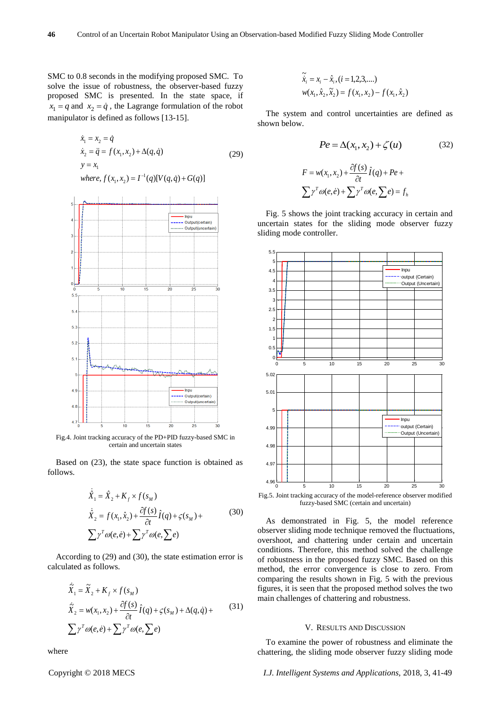SMC to 0.8 seconds in the modifying proposed SMC. To solve the issue of robustness, the observer-based fuzzy proposed SMC is presented. In the state space, if  $x_1 = q$  and  $x_2 = \dot{q}$ , the Lagrange formulation of the robot manipulator is defined as follows [13-15].

$$
\dot{x}_1 = x_2 = \dot{q}
$$
\n
$$
\dot{x}_2 = \ddot{q} = f(x_1, x_2) + \Delta(q, \dot{q})
$$
\n
$$
y = x_1
$$
\n
$$
where, f(x_1, x_2) = I^{-1}(q)[V(q, \dot{q}) + G(q)]
$$
\n(29)



Fig.4. Joint tracking accuracy of the PD+PID fuzzy-based SMC in certain and uncertain states

Based on (23), the state space function is obtained as follows.

$$
\dot{\hat{X}}_1 = \hat{X}_2 + K_f \times f(s_M)
$$
\n
$$
\dot{\hat{X}}_2 = f(x_1, \hat{x}_2) + \frac{\partial f(s)}{\partial t} \hat{I}(q) + \varsigma(s_M) + \sum \gamma^T \omega(e, \hat{e}) + \sum \gamma^T \omega(e, \sum e)
$$
\n(30)

According to (29) and (30), the state estimation error is calculated as follows.

$$
\dot{\tilde{X}}_1 = \tilde{X}_2 + K_f \times f(s_M)
$$
\n
$$
\dot{\tilde{X}}_2 = w(x_1, x_2) + \frac{\partial f(s)}{\partial t} \hat{I}(q) + \varsigma(s_M) + \Delta(q, \dot{q}) + \sum \gamma^T \omega(e, \dot{e}) + \sum \gamma^T \omega(e, \sum e)
$$
\n(31)

where

$$
\widetilde{\dot{x}}_i = x_i - \hat{x}_i, (i = 1, 2, 3, ....)
$$
  

$$
w(x_1, \hat{x}_2, \widetilde{x}_2) = f(x_1, x_2) - f(x_1, \hat{x}_2)
$$

The system and control uncertainties are defined as shown below.

$$
Pe = \Delta(x_1, x_2) + \zeta(u) \tag{32}
$$

$$
F = w(x_1, x_2) + \frac{\partial f(s)}{\partial t} \hat{I}(q) + Pe +
$$
  

$$
\sum \gamma^T \omega(e, \hat{e}) + \sum \gamma^T \omega(e, \sum e) = f_h
$$

Fig. 5 shows the joint tracking accuracy in certain and uncertain states for the sliding mode observer fuzzy sliding mode controller.



fuzzy-based SMC (certain and uncertain)

As demonstrated in Fig. 5, the model reference observer sliding mode technique removed the fluctuations, overshoot, and chattering under certain and uncertain conditions. Therefore, this method solved the challenge of robustness in the proposed fuzzy SMC. Based on this method, the error convergence is close to zero. From comparing the results shown in Fig. 5 with the previous figures, it is seen that the proposed method solves the two main challenges of chattering and robustness.

#### V. RESULTS AND DISCUSSION

To examine the power of robustness and eliminate the chattering, the sliding mode observer fuzzy sliding mode

Copyright © 2018 MECS *I.J. Intelligent Systems and Applications,* 2018, 3, 41-49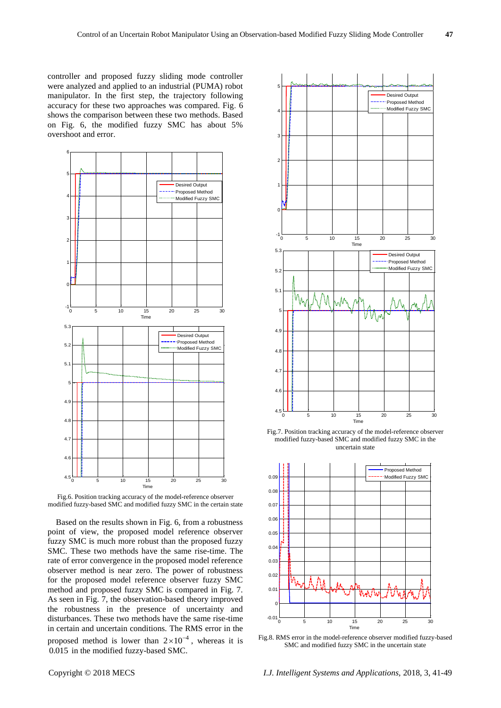controller and proposed fuzzy sliding mode controller were analyzed and applied to an industrial (PUMA) robot manipulator. In the first step, the trajectory following accuracy for these two approaches was compared. Fig. 6 shows the comparison between these two methods. Based on Fig. 6, the modified fuzzy SMC has about 5% overshoot and error.



Fig.6. Position tracking accuracy of the model-reference observer modified fuzzy-based SMC and modified fuzzy SMC in the certain state

Based on the results shown in Fig. 6, from a robustness point of view, the proposed model reference observer fuzzy SMC is much more robust than the proposed fuzzy SMC. These two methods have the same rise-time. The rate of error convergence in the proposed model reference observer method is near zero. The power of robustness for the proposed model reference observer fuzzy SMC method and proposed fuzzy SMC is compared in Fig. 7. As seen in Fig. 7, the observation-based theory improved the robustness in the presence of uncertainty and disturbances. These two methods have the same rise-time in certain and uncertain conditions. The RMS error in the proposed method is lower than  $2 \times 10^{-4}$ , whereas it is 0.015 in the modified fuzzy-based SMC.







Fig.8. RMS error in the model-reference observer modified fuzzy-based SMC and modified fuzzy SMC in the uncertain state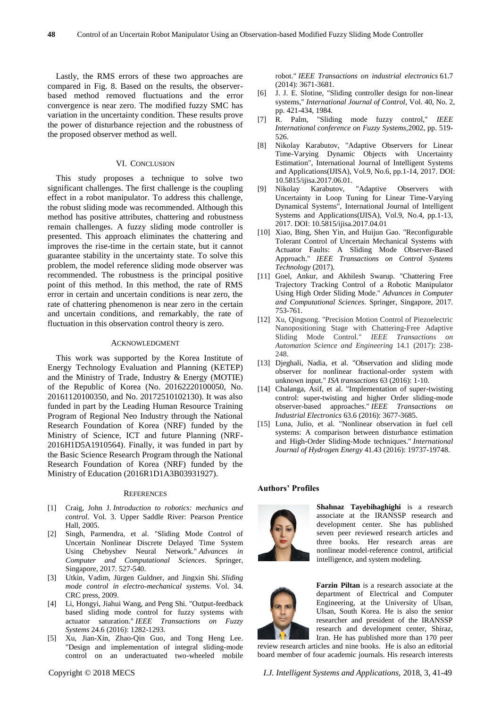Lastly, the RMS errors of these two approaches are compared in Fig. 8. Based on the results, the observerbased method removed fluctuations and the error convergence is near zero. The modified fuzzy SMC has variation in the uncertainty condition. These results prove the power of disturbance rejection and the robustness of the proposed observer method as well.

# VI. CONCLUSION

This study proposes a technique to solve two significant challenges. The first challenge is the coupling effect in a robot manipulator. To address this challenge, the robust sliding mode was recommended. Although this method has positive attributes, chattering and robustness remain challenges. A fuzzy sliding mode controller is presented. This approach eliminates the chattering and improves the rise-time in the certain state, but it cannot guarantee stability in the uncertainty state. To solve this problem, the model reference sliding mode observer was recommended. The robustness is the principal positive point of this method. In this method, the rate of RMS error in certain and uncertain conditions is near zero, the rate of chattering phenomenon is near zero in the certain and uncertain conditions, and remarkably, the rate of fluctuation in this observation control theory is zero.

#### ACKNOWLEDGMENT

This work was supported by the Korea Institute of Energy Technology Evaluation and Planning (KETEP) and the Ministry of Trade, Industry & Energy (MOTIE) of the Republic of Korea (No. 20162220100050, No. 20161120100350, and No. 20172510102130). It was also funded in part by the Leading Human Resource Training Program of Regional Neo Industry through the National Research Foundation of Korea (NRF) funded by the Ministry of Science, ICT and future Planning (NRF-2016H1D5A1910564). Finally, it was funded in part by the Basic Science Research Program through the National Research Foundation of Korea (NRF) funded by the Ministry of Education (2016R1D1A3B03931927).

#### **REFERENCES**

- [1] Craig, John J. *Introduction to robotics: mechanics and control*. Vol. 3. Upper Saddle River: Pearson Prentice Hall, 2005.
- [2] Singh, Parmendra, et al. "Sliding Mode Control of Uncertain Nonlinear Discrete Delayed Time System Using Chebyshev Neural Network." *Advances in Computer and Computational Sciences*. Springer, Singapore, 2017. 527-540.
- [3] Utkin, Vadim, Jürgen Guldner, and Jingxin Shi. *Sliding mode control in electro-mechanical systems*. Vol. 34. CRC press, 2009.
- [4] Li, Hongyi, Jiahui Wang, and Peng Shi. "Output-feedback based sliding mode control for fuzzy systems with actuator saturation." *IEEE Transactions on Fuzzy Systems* 24.6 (2016): 1282-1293.
- [5] Xu, Jian-Xin, Zhao-Qin Guo, and Tong Heng Lee. "Design and implementation of integral sliding-mode control on an underactuated two-wheeled mobile

robot." *IEEE Transactions on industrial electronics* 61.7 (2014): 3671-3681.

- [6] J. J. E. Slotine, "Sliding controller design for non-linear systems," *International Journal of Control,* Vol. 40, No. 2*,*  pp. 421-434, 1984.
- [7] R. Palm, "Sliding mode fuzzy control," *IEEE International conference on Fuzzy Systems,*2002, pp. 519- 526.
- [8] Nikolay Karabutov, "Adaptive Observers for Linear Time-Varying Dynamic Objects with Uncertainty Estimation", International Journal of Intelligent Systems and Applications(IJISA), Vol.9, No.6, pp.1-14, 2017. DOI: 10.5815/ijisa.2017.06.01.
- [9] Nikolay Karabutov, "Adaptive Observers with Uncertainty in Loop Tuning for Linear Time-Varying Dynamical Systems", International Journal of Intelligent Systems and Applications(IJISA), Vol.9, No.4, pp.1-13, 2017. DOI: 10.5815/ijisa.2017.04.01
- [10] Xiao, Bing, Shen Yin, and Huijun Gao. "Reconfigurable Tolerant Control of Uncertain Mechanical Systems with Actuator Faults: A Sliding Mode Observer-Based Approach." *IEEE Transactions on Control Systems Technology* (2017).
- [11] Goel, Ankur, and Akhilesh Swarup. "Chattering Free Trajectory Tracking Control of a Robotic Manipulator Using High Order Sliding Mode." *Advances in Computer and Computational Sciences*. Springer, Singapore, 2017. 753-761.
- [12] Xu, Qingsong. "Precision Motion Control of Piezoelectric Nanopositioning Stage with Chattering-Free Adaptive Sliding Mode Control." *IEEE Transactions on Automation Science and Engineering* 14.1 (2017): 238- 248.
- [13] Djeghali, Nadia, et al. "Observation and sliding mode observer for nonlinear fractional-order system with unknown input." *ISA transactions* 63 (2016): 1-10.
- [14] Chalanga, Asif, et al. "Implementation of super-twisting control: super-twisting and higher Order sliding-mode observer-based approaches." *IEEE Transactions on Industrial Electronics* 63.6 (2016): 3677-3685.
- [15] Luna, Julio, et al. "Nonlinear observation in fuel cell systems: A comparison between disturbance estimation and High-Order Sliding-Mode techniques." *International Journal of Hydrogen Energy* 41.43 (2016): 19737-19748.

#### **Authors' Profiles**



**Shahnaz Tayebihaghighi** is a research associate at the IRANSSP research and development center. She has published seven peer reviewed research articles and three books. Her research areas are nonlinear model-reference control, artificial intelligence, and system modeling.



**Farzin Piltan** is a research associate at the department of Electrical and Computer Engineering, at the University of Ulsan, Ulsan, South Korea. He is also the senior researcher and president of the IRANSSP research and development center, Shiraz, Iran. He has published more than 170 peer

review research articles and nine books. He is also an editorial board member of four academic journals. His research interests

Copyright © 2018 MECS *I.J. Intelligent Systems and Applications,* 2018, 3, 41-49